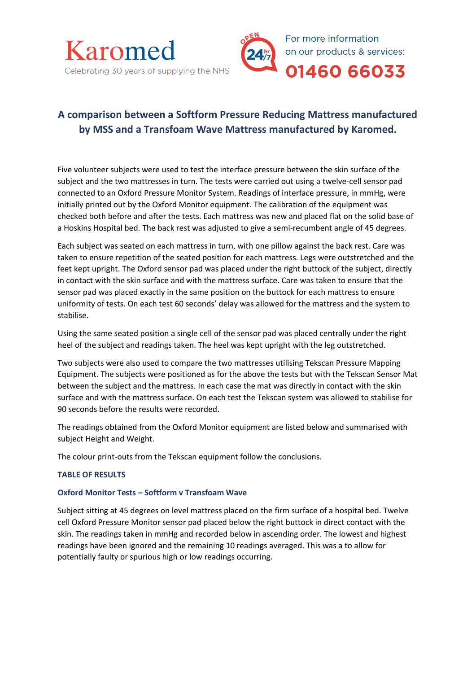



# **A comparison between a Softform Pressure Reducing Mattress manufactured by MSS and a Transfoam Wave Mattress manufactured by Karomed.**

Five volunteer subjects were used to test the interface pressure between the skin surface of the subject and the two mattresses in turn. The tests were carried out using a twelve-cell sensor pad connected to an Oxford Pressure Monitor System. Readings of interface pressure, in mmHg, were initially printed out by the Oxford Monitor equipment. The calibration of the equipment was checked both before and after the tests. Each mattress was new and placed flat on the solid base of a Hoskins Hospital bed. The back rest was adjusted to give a semi-recumbent angle of 45 degrees.

Each subject was seated on each mattress in turn, with one pillow against the back rest. Care was taken to ensure repetition of the seated position for each mattress. Legs were outstretched and the feet kept upright. The Oxford sensor pad was placed under the right buttock of the subject, directly in contact with the skin surface and with the mattress surface. Care was taken to ensure that the sensor pad was placed exactly in the same position on the buttock for each mattress to ensure uniformity of tests. On each test 60 seconds' delay was allowed for the mattress and the system to stabilise.

Using the same seated position a single cell of the sensor pad was placed centrally under the right heel of the subject and readings taken. The heel was kept upright with the leg outstretched.

Two subjects were also used to compare the two mattresses utilising Tekscan Pressure Mapping Equipment. The subjects were positioned as for the above the tests but with the Tekscan Sensor Mat between the subject and the mattress. In each case the mat was directly in contact with the skin surface and with the mattress surface. On each test the Tekscan system was allowed to stabilise for 90 seconds before the results were recorded.

The readings obtained from the Oxford Monitor equipment are listed below and summarised with subject Height and Weight.

The colour print-outs from the Tekscan equipment follow the conclusions.

## **TABLE OF RESULTS**

## **Oxford Monitor Tests – Softform v Transfoam Wave**

Subject sitting at 45 degrees on level mattress placed on the firm surface of a hospital bed. Twelve cell Oxford Pressure Monitor sensor pad placed below the right buttock in direct contact with the skin. The readings taken in mmHg and recorded below in ascending order. The lowest and highest readings have been ignored and the remaining 10 readings averaged. This was a to allow for potentially faulty or spurious high or low readings occurring.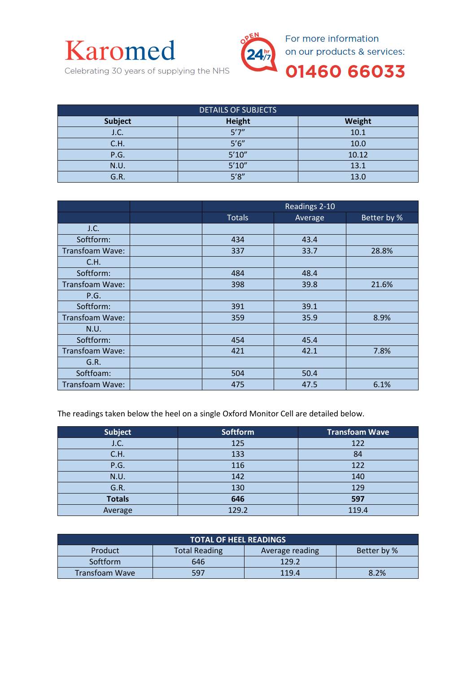



For more information on our products & services:

01460 66033

Celebrating 30 years of supplying the NHS

| <b>DETAILS OF SUBJECTS</b> |        |        |  |  |  |
|----------------------------|--------|--------|--|--|--|
| Subject                    | Height | Weight |  |  |  |
| J.C.                       | 5'7''  | 10.1   |  |  |  |
| C.H.                       | 5'6''  | 10.0   |  |  |  |
| P.G.                       | 5'10'' | 10.12  |  |  |  |
| N.U.                       | 5'10'' | 13.1   |  |  |  |
| G.R.                       | 5'8''  | 13.0   |  |  |  |

|                 | Readings 2-10 |         |             |
|-----------------|---------------|---------|-------------|
|                 | <b>Totals</b> | Average | Better by % |
| J.C.            |               |         |             |
| Softform:       | 434           | 43.4    |             |
| Transfoam Wave: | 337           | 33.7    | 28.8%       |
| C.H.            |               |         |             |
| Softform:       | 484           | 48.4    |             |
| Transfoam Wave: | 398           | 39.8    | 21.6%       |
| P.G.            |               |         |             |
| Softform:       | 391           | 39.1    |             |
| Transfoam Wave: | 359           | 35.9    | 8.9%        |
| N.U.            |               |         |             |
| Softform:       | 454           | 45.4    |             |
| Transfoam Wave: | 421           | 42.1    | 7.8%        |
| G.R.            |               |         |             |
| Softfoam:       | 504           | 50.4    |             |
| Transfoam Wave: | 475           | 47.5    | 6.1%        |

The readings taken below the heel on a single Oxford Monitor Cell are detailed below.

| <b>Subject</b> | <b>Softform</b> | <b>Transfoam Wave</b> |
|----------------|-----------------|-----------------------|
| J.C.           | 125             | 122                   |
| C.H.           | 133             | 84                    |
| P.G.           | 116             | 122                   |
| N.U.           | 142             | 140                   |
| G.R.           | 130             | 129                   |
| <b>Totals</b>  | 646             | 597                   |
| Average        | 129.2           | 119.4                 |

| <b>TOTAL OF HEEL READINGS</b> |                      |                 |             |  |  |  |
|-------------------------------|----------------------|-----------------|-------------|--|--|--|
| Product                       | <b>Total Reading</b> | Average reading | Better by % |  |  |  |
| <b>Softform</b>               | 646                  | 129.2           |             |  |  |  |
| Transfoam Wave                | 597                  | 119.4           | 8.2%        |  |  |  |